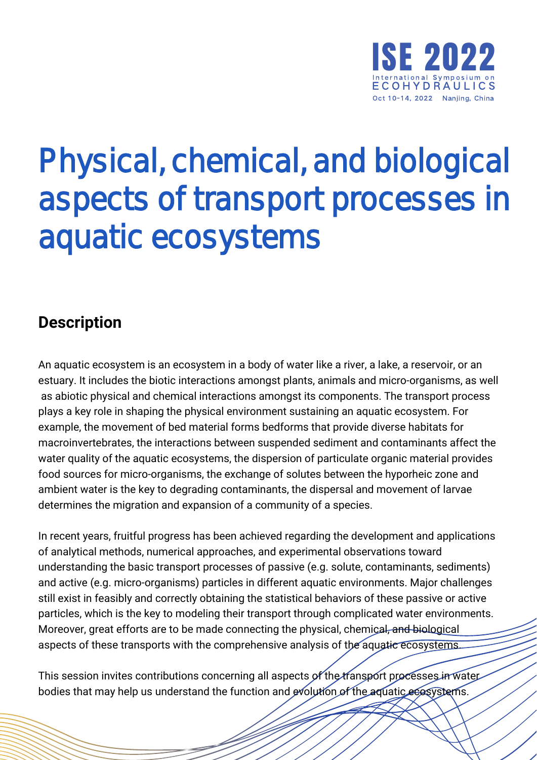

## Physical, chemical, and biological aspects of transport processes in aquatic ecosystems

## **Description**

An aquatic ecosystem is an ecosystem in a body of water like a river, a lake, a reservoir, or an estuary. It includes the biotic interactions amongst plants, animals and micro-organisms, as well as abiotic physical and chemical interactions amongst its components. The transport process plays a key role in shaping the physical environment sustaining an aquatic ecosystem. For example, the movement of bed material forms bedforms that provide diverse habitats for macroinvertebrates, the interactions between suspended sediment and contaminants affect the water quality of the aquatic ecosystems, the dispersion of particulate organic material provides food sources for micro-organisms, the exchange of solutes between the hyporheic zone and ambient water is the key to degrading contaminants, the dispersal and movement of larvae determines the migration and expansion of a community of a species.

In recent years, fruitful progress has been achieved regarding the development and applications of analytical methods, numerical approaches, and experimental observations toward understanding the basic transport processes of passive (e.g. solute, contaminants, sediments) and active (e.g. micro-organisms) particles in different aquatic environments. Major challenges still exist in feasibly and correctly obtaining the statistical behaviors of these passive or active particles, which is the key to modeling their transport through complicated water environments. Moreover, great efforts are to be made connecting the physical, chemical, and biological aspects of these transports with the comprehensive analysis of the aquatic ecosystems.

This session invites contributions concerning all aspects of the transport processes in water bodies that may help us understand the function and evolution of the aquatic ecosystems.